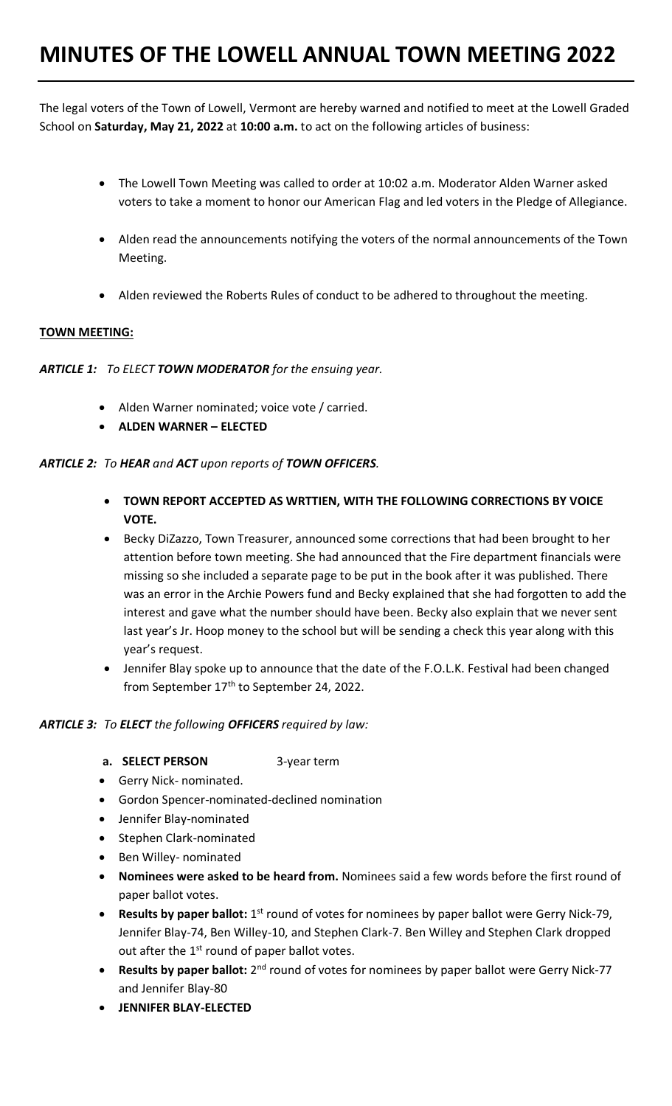The legal voters of the Town of Lowell, Vermont are hereby warned and notified to meet at the Lowell Graded School on **Saturday, May 21, 2022** at **10:00 a.m.** to act on the following articles of business:

- The Lowell Town Meeting was called to order at 10:02 a.m. Moderator Alden Warner asked voters to take a moment to honor our American Flag and led voters in the Pledge of Allegiance.
- Alden read the announcements notifying the voters of the normal announcements of the Town Meeting.
- Alden reviewed the Roberts Rules of conduct to be adhered to throughout the meeting.

# **TOWN MEETING:**

*ARTICLE 1: To ELECT TOWN MODERATOR for the ensuing year.* 

- Alden Warner nominated; voice vote / carried.
- **ALDEN WARNER – ELECTED**

## *ARTICLE 2: To HEAR and ACT upon reports of TOWN OFFICERS.*

- **TOWN REPORT ACCEPTED AS WRTTIEN, WITH THE FOLLOWING CORRECTIONS BY VOICE VOTE.**
- Becky DiZazzo, Town Treasurer, announced some corrections that had been brought to her attention before town meeting. She had announced that the Fire department financials were missing so she included a separate page to be put in the book after it was published. There was an error in the Archie Powers fund and Becky explained that she had forgotten to add the interest and gave what the number should have been. Becky also explain that we never sent last year's Jr. Hoop money to the school but will be sending a check this year along with this year's request.
- Jennifer Blay spoke up to announce that the date of the F.O.L.K. Festival had been changed from September 17<sup>th</sup> to September 24, 2022.

## *ARTICLE 3: To ELECT the following OFFICERS required by law:*

- **a. SELECT PERSON** 3-year term
- Gerry Nick- nominated.
- Gordon Spencer-nominated-declined nomination
- Jennifer Blay-nominated
- Stephen Clark-nominated
- Ben Willey- nominated
- **Nominees were asked to be heard from.** Nominees said a few words before the first round of paper ballot votes.
- **Results by paper ballot:** 1<sup>st</sup> round of votes for nominees by paper ballot were Gerry Nick-79, Jennifer Blay-74, Ben Willey-10, and Stephen Clark-7. Ben Willey and Stephen Clark dropped out after the  $1<sup>st</sup>$  round of paper ballot votes.
- Results by paper ballot: 2<sup>nd</sup> round of votes for nominees by paper ballot were Gerry Nick-77 and Jennifer Blay-80
- **JENNIFER BLAY-ELECTED**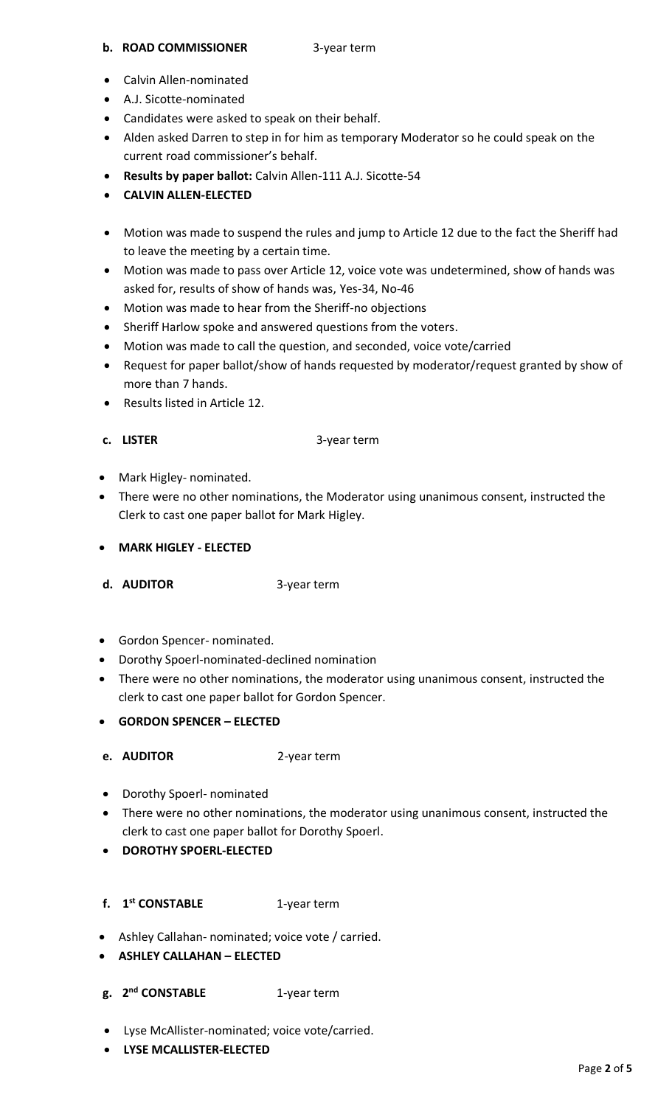### **b. ROAD COMMISSIONER** 3-year term

- Calvin Allen-nominated
- A.J. Sicotte-nominated
- Candidates were asked to speak on their behalf.
- Alden asked Darren to step in for him as temporary Moderator so he could speak on the current road commissioner's behalf.
- **Results by paper ballot:** Calvin Allen-111 A.J. Sicotte-54
- **CALVIN ALLEN-ELECTED**
- Motion was made to suspend the rules and jump to Article 12 due to the fact the Sheriff had to leave the meeting by a certain time.
- Motion was made to pass over Article 12, voice vote was undetermined, show of hands was asked for, results of show of hands was, Yes-34, No-46
- Motion was made to hear from the Sheriff-no objections
- Sheriff Harlow spoke and answered questions from the voters.
- Motion was made to call the question, and seconded, voice vote/carried
- Request for paper ballot/show of hands requested by moderator/request granted by show of more than 7 hands.
- Results listed in Article 12.
- 

**c. LISTER** 3-year term

- Mark Higley- nominated.
- There were no other nominations, the Moderator using unanimous consent, instructed the Clerk to cast one paper ballot for Mark Higley.
- **MARK HIGLEY - ELECTED**

**d. AUDITOR** 3-year term

- Gordon Spencer- nominated.
- Dorothy Spoerl-nominated-declined nomination
- There were no other nominations, the moderator using unanimous consent, instructed the clerk to cast one paper ballot for Gordon Spencer.
- **GORDON SPENCER – ELECTED**
- **e. AUDITOR** 2-year term
- Dorothy Spoerl- nominated
- There were no other nominations, the moderator using unanimous consent, instructed the clerk to cast one paper ballot for Dorothy Spoerl.
- **DOROTHY SPOERL-ELECTED**
- **f. 1 st CONSTABLE** 1-year term
- Ashley Callahan- nominated; voice vote / carried.
- **ASHLEY CALLAHAN – ELECTED**
- **g. 2 nd CONSTABLE** 1-year term
- Lyse McAllister-nominated; voice vote/carried.
- **LYSE MCALLISTER-ELECTED**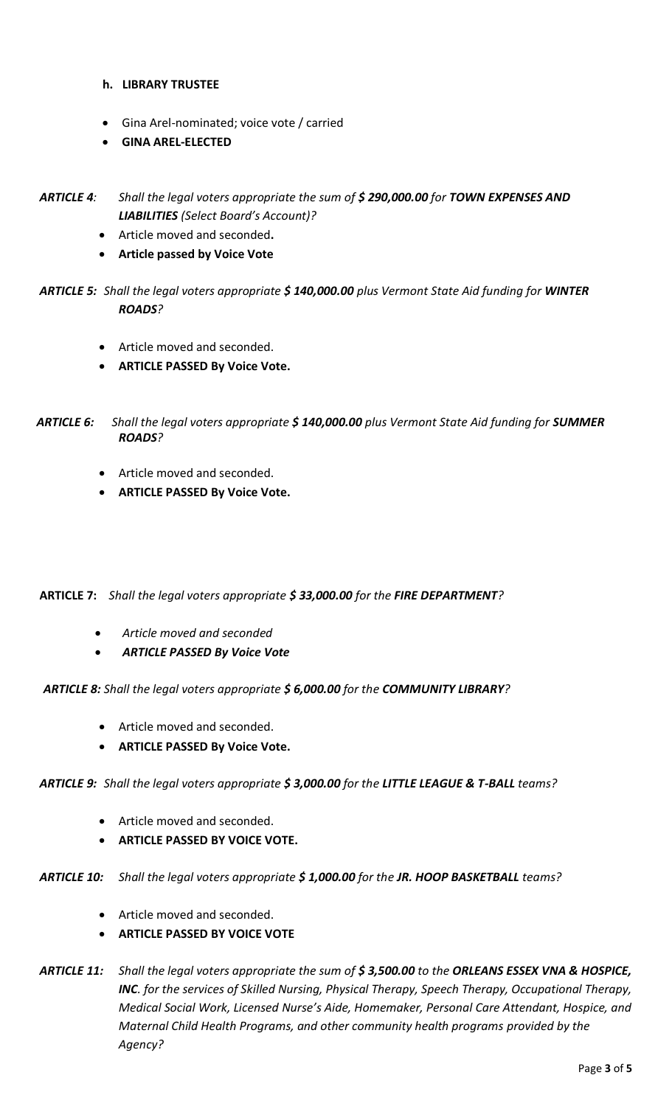- **h. LIBRARY TRUSTEE**
- Gina Arel-nominated; voice vote / carried
- **GINA AREL-ELECTED**

*ARTICLE 4: Shall the legal voters appropriate the sum of \$ 290,000.00 for TOWN EXPENSES AND LIABILITIES (Select Board's Account)?*

- Article moved and seconded**.**
- **Article passed by Voice Vote**

*ARTICLE 5: Shall the legal voters appropriate \$ 140,000.00 plus Vermont State Aid funding for WINTER ROADS?*

- Article moved and seconded.
- **ARTICLE PASSED By Voice Vote.**

 *ARTICLE 6: Shall the legal voters appropriate \$ 140,000.00 plus Vermont State Aid funding for SUMMER ROADS?* 

- Article moved and seconded.
- **ARTICLE PASSED By Voice Vote.**

**ARTICLE 7:** *Shall the legal voters appropriate \$ 33,000.00 for the FIRE DEPARTMENT?*

- *Article moved and seconded*
- *ARTICLE PASSED By Voice Vote*

 *ARTICLE 8: Shall the legal voters appropriate \$ 6,000.00 for the COMMUNITY LIBRARY?*

- Article moved and seconded.
- **ARTICLE PASSED By Voice Vote.**

*ARTICLE 9: Shall the legal voters appropriate \$ 3,000.00 for the LITTLE LEAGUE & T-BALL teams?*

- Article moved and seconded.
- **ARTICLE PASSED BY VOICE VOTE.**
- *ARTICLE 10: Shall the legal voters appropriate \$ 1,000.00 for the JR. HOOP BASKETBALL teams?*
	- Article moved and seconded.
	- **ARTICLE PASSED BY VOICE VOTE**

*ARTICLE 11: Shall the legal voters appropriate the sum of \$ 3,500.00 to the ORLEANS ESSEX VNA & HOSPICE, INC. for the services of Skilled Nursing, Physical Therapy, Speech Therapy, Occupational Therapy, Medical Social Work, Licensed Nurse's Aide, Homemaker, Personal Care Attendant, Hospice, and Maternal Child Health Programs, and other community health programs provided by the Agency?*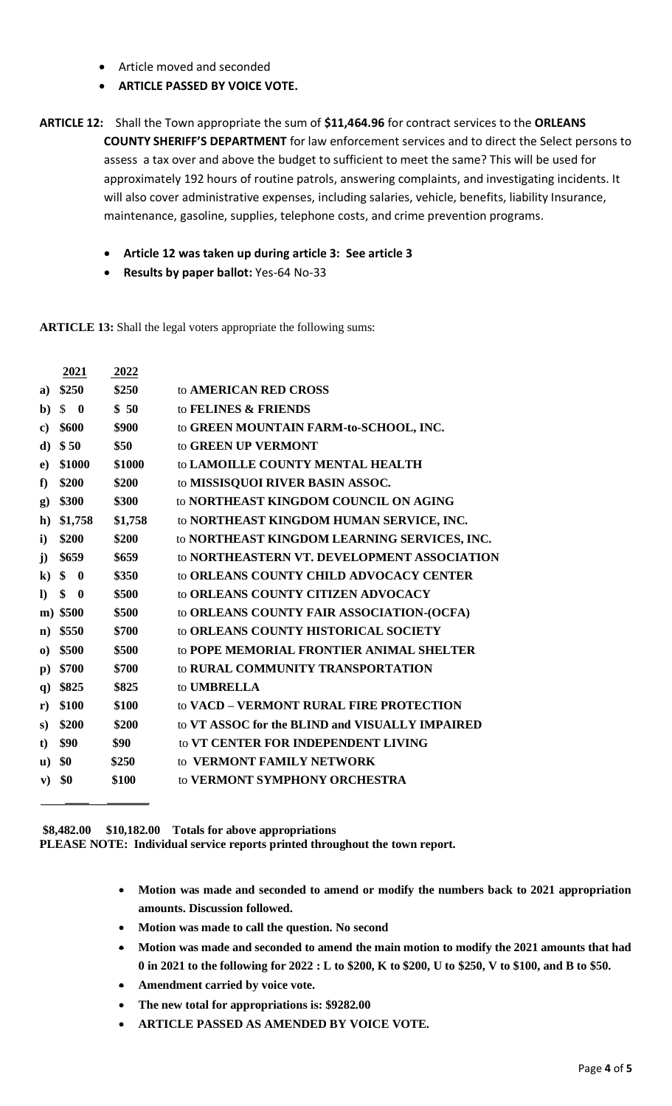- Article moved and seconded
- **ARTICLE PASSED BY VOICE VOTE.**

**ARTICLE 12:** Shall the Town appropriate the sum of **\$11,464.96** for contract services to the **ORLEANS COUNTY SHERIFF'S DEPARTMENT** for law enforcement services and to direct the Select persons to assess a tax over and above the budget to sufficient to meet the same? This will be used for approximately 192 hours of routine patrols, answering complaints, and investigating incidents. It will also cover administrative expenses, including salaries, vehicle, benefits, liability Insurance, maintenance, gasoline, supplies, telephone costs, and crime prevention programs.

- **Article 12 was taken up during article 3: See article 3**
- **Results by paper ballot:** Yes-64 No-33

**ARTICLE 13:** Shall the legal voters appropriate the following sums:

|                | 2021                         | 2022    |                                                 |
|----------------|------------------------------|---------|-------------------------------------------------|
| a)             | \$250                        | \$250   | to AMERICAN RED CROSS                           |
| b)             | $\mathbb{S}$<br>$\mathbf{0}$ | \$50    | to FELINES & FRIENDS                            |
| $\bf c)$       | \$600                        | \$900   | to GREEN MOUNTAIN FARM-to-SCHOOL, INC.          |
| d)             | \$50                         | \$50    | to GREEN UP VERMONT                             |
| $\bf e)$       | \$1000                       | \$1000  | to LAMOILLE COUNTY MENTAL HEALTH                |
| f)             | \$200                        | \$200   | to MISSISQUOI RIVER BASIN ASSOC.                |
| $\mathbf{g}$   | \$300                        | \$300   | to NORTHEAST KINGDOM COUNCIL ON AGING           |
| $\mathbf{h}$   | \$1,758                      | \$1,758 | to NORTHEAST KINGDOM HUMAN SERVICE, INC.        |
| $\mathbf{i}$   | \$200                        | \$200   | to NORTHEAST KINGDOM LEARNING SERVICES, INC.    |
| $\mathbf{j}$   | \$659                        | \$659   | to NORTHEASTERN VT. DEVELOPMENT ASSOCIATION     |
| $\bf k)$       | \$<br>$\bf{0}$               | \$350   | to ORLEANS COUNTY CHILD ADVOCACY CENTER         |
| $\bf{D}$       | \$<br>$\mathbf 0$            | \$500   | to ORLEANS COUNTY CITIZEN ADVOCACY              |
| $\mathbf{m}$ ) | \$500                        | \$500   | to ORLEANS COUNTY FAIR ASSOCIATION-(OCFA)       |
| $\mathbf{n}$   | \$550                        | \$700   | to ORLEANS COUNTY HISTORICAL SOCIETY            |
| $\bf{0}$       | \$500                        | \$500   | to POPE MEMORIAL FRONTIER ANIMAL SHELTER        |
| $\mathbf{p}$   | \$700                        | \$700   | to RURAL COMMUNITY TRANSPORTATION               |
| $\mathbf{q}$   | \$825                        | \$825   | to <b>UMBRELLA</b>                              |
| r)             | \$100                        | \$100   | to VACD - VERMONT RURAL FIRE PROTECTION         |
| S)             | \$200                        | \$200   | to VT ASSOC for the BLIND and VISUALLY IMPAIRED |
| $\mathbf t$    | \$90                         | \$90    | to VT CENTER FOR INDEPENDENT LIVING             |
| $\mathbf{u}$   | \$0                          | \$250   | to VERMONT FAMILY NETWORK                       |
| ${\bf v})$     | \$0                          | \$100   | to VERMONT SYMPHONY ORCHESTRA                   |
|                |                              |         |                                                 |

**\$8,482.00 \$10,182.00 Totals for above appropriations PLEASE NOTE: Individual service reports printed throughout the town report.**

- **Motion was made and seconded to amend or modify the numbers back to 2021 appropriation amounts. Discussion followed.**
- **Motion was made to call the question. No second**
- **Motion was made and seconded to amend the main motion to modify the 2021 amounts that had 0 in 2021 to the following for 2022 : L to \$200, K to \$200, U to \$250, V to \$100, and B to \$50.**
- **Amendment carried by voice vote.**
- **The new total for appropriations is: \$9282.00**
- **ARTICLE PASSED AS AMENDED BY VOICE VOTE.**